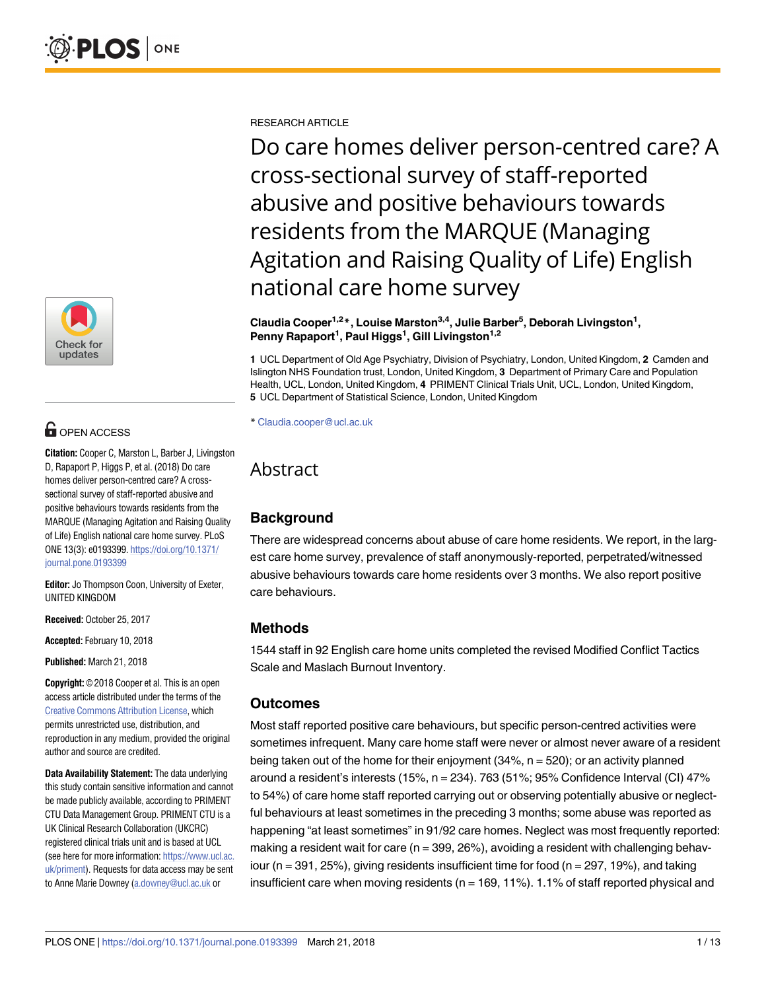

# **OPEN ACCESS**

**Citation:** Cooper C, Marston L, Barber J, Livingston D, Rapaport P, Higgs P, et al. (2018) Do care homes deliver person-centred care? A crosssectional survey of staff-reported abusive and positive behaviours towards residents from the MARQUE (Managing Agitation and Raising Quality of Life) English national care home survey. PLoS ONE 13(3): e0193399. [https://doi.org/10.1371/](https://doi.org/10.1371/journal.pone.0193399) [journal.pone.0193399](https://doi.org/10.1371/journal.pone.0193399)

**Editor:** Jo Thompson Coon, University of Exeter, UNITED KINGDOM

**Received:** October 25, 2017

**Accepted:** February 10, 2018

**Published:** March 21, 2018

**Copyright:** © 2018 Cooper et al. This is an open access article distributed under the terms of the Creative Commons [Attribution](http://creativecommons.org/licenses/by/4.0/) License, which permits unrestricted use, distribution, and reproduction in any medium, provided the original author and source are credited.

**Data Availability Statement:** The data underlying this study contain sensitive information and cannot be made publicly available, according to PRIMENT CTU Data Management Group. PRIMENT CTU is a UK Clinical Research Collaboration (UKCRC) registered clinical trials unit and is based at UCL (see here for more information: [https://www.ucl.ac.](https://www.ucl.ac.uk/priment) [uk/priment](https://www.ucl.ac.uk/priment)). Requests for data access may be sent to Anne Marie Downey [\(a.downey@ucl.ac.uk](mailto:a.downey@ucl.ac.uk) or

RESEARCH ARTICLE

Do care homes deliver person-centred care? A cross-sectional survey of staff-reported abusive and positive behaviours towards residents from the MARQUE (Managing Agitation and Raising Quality of Life) English national care home survey

#### **Claudia Cooper1,2\*, Louise Marston3,4, Julie Barber5 , Deborah Livingston1 , Penny Rapaport1 , Paul Higgs1 , Gill Livingston1,2**

**1** UCL Department of Old Age Psychiatry, Division of Psychiatry, London, United Kingdom, **2** Camden and Islington NHS Foundation trust, London, United Kingdom, **3** Department of Primary Care and Population Health, UCL, London, United Kingdom, **4** PRIMENT Clinical Trials Unit, UCL, London, United Kingdom, **5** UCL Department of Statistical Science, London, United Kingdom

\* Claudia.cooper@ucl.ac.uk

# Abstract

# **Background**

There are widespread concerns about abuse of care home residents. We report, in the largest care home survey, prevalence of staff anonymously-reported, perpetrated/witnessed abusive behaviours towards care home residents over 3 months. We also report positive care behaviours.

## **Methods**

1544 staff in 92 English care home units completed the revised Modified Conflict Tactics Scale and Maslach Burnout Inventory.

## **Outcomes**

Most staff reported positive care behaviours, but specific person-centred activities were sometimes infrequent. Many care home staff were never or almost never aware of a resident being taken out of the home for their enjoyment (34%, n = 520); or an activity planned around a resident's interests (15%, n = 234). 763 (51%; 95% Confidence Interval (CI) 47% to 54%) of care home staff reported carrying out or observing potentially abusive or neglectful behaviours at least sometimes in the preceding 3 months; some abuse was reported as happening "at least sometimes" in 91/92 care homes. Neglect was most frequently reported: making a resident wait for care ( $n = 399, 26\%$ ), avoiding a resident with challenging behaviour ( $n = 391, 25\%$ ), giving residents insufficient time for food ( $n = 297, 19\%$ ), and taking insufficient care when moving residents ( $n = 169, 11\%$ ). 1.1% of staff reported physical and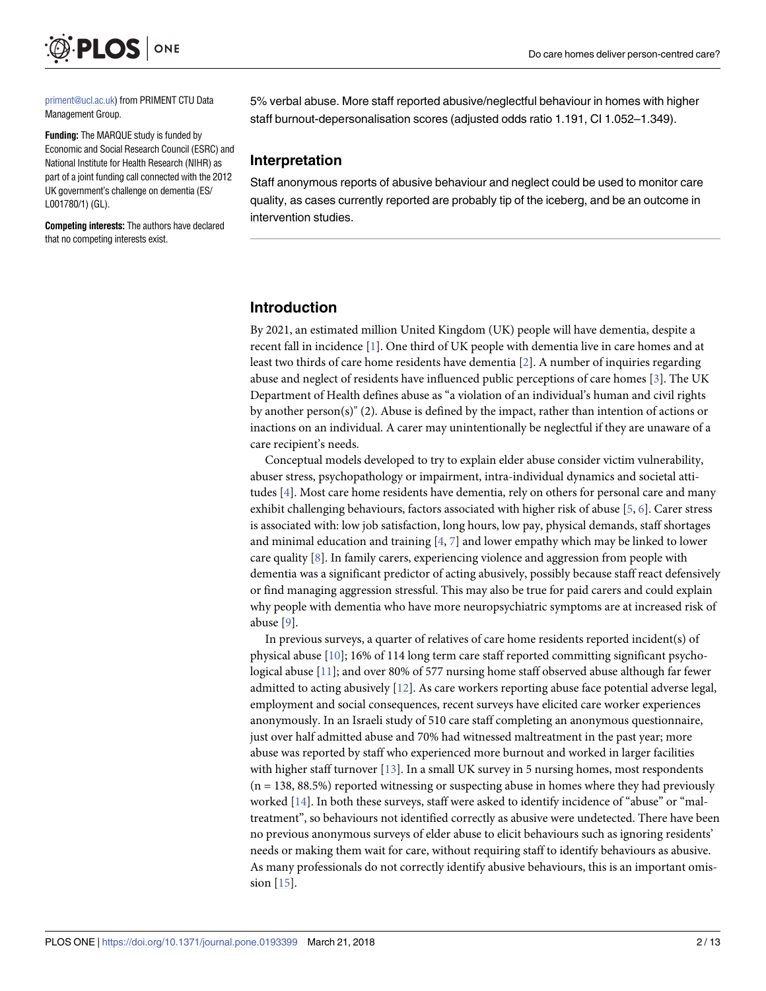<span id="page-1-0"></span>

[priment@ucl.ac.uk](mailto:priment@ucl.ac.uk)) from PRIMENT CTU Data Management Group.

**Funding:** The MARQUE study is funded by Economic and Social Research Council (ESRC) and National Institute for Health Research (NIHR) as part of a joint funding call connected with the 2012 UK government's challenge on dementia (ES/ L001780/1) (GL).

**Competing interests:** The authors have declared that no competing interests exist.

5% verbal abuse. More staff reported abusive/neglectful behaviour in homes with higher staff burnout-depersonalisation scores (adjusted odds ratio 1.191, CI 1.052–1.349).

#### **Interpretation**

Staff anonymous reports of abusive behaviour and neglect could be used to monitor care quality, as cases currently reported are probably tip of the iceberg, and be an outcome in intervention studies.

#### **Introduction**

By 2021, an estimated million United Kingdom (UK) people will have dementia, despite a recent fall in incidence [[1\]](#page-11-0). One third of UK people with dementia live in care homes and at least two thirds of care home residents have dementia [\[2\]](#page-11-0). A number of inquiries regarding abuse and neglect of residents have influenced public perceptions of care homes [\[3](#page-11-0)]. The UK Department of Health defines abuse as "a violation of an individual's human and civil rights by another person(s)" (2). Abuse is defined by the impact, rather than intention of actions or inactions on an individual. A carer may unintentionally be neglectful if they are unaware of a care recipient's needs.

Conceptual models developed to try to explain elder abuse consider victim vulnerability, abuser stress, psychopathology or impairment, intra-individual dynamics and societal attitudes [\[4\]](#page-11-0). Most care home residents have dementia, rely on others for personal care and many exhibit challenging behaviours, factors associated with higher risk of abuse [\[5,](#page-11-0) [6](#page-11-0)]. Carer stress is associated with: low job satisfaction, long hours, low pay, physical demands, staff shortages and minimal education and training  $[4, 7]$  $[4, 7]$  $[4, 7]$  $[4, 7]$  and lower empathy which may be linked to lower care quality [[8](#page-11-0)]. In family carers, experiencing violence and aggression from people with dementia was a significant predictor of acting abusively, possibly because staff react defensively or find managing aggression stressful. This may also be true for paid carers and could explain why people with dementia who have more neuropsychiatric symptoms are at increased risk of abuse [\[9\]](#page-11-0).

In previous surveys, a quarter of relatives of care home residents reported incident(s) of physical abuse [[10](#page-11-0)]; 16% of 114 long term care staff reported committing significant psychological abuse [\[11\]](#page-11-0); and over 80% of 577 nursing home staff observed abuse although far fewer admitted to acting abusively [\[12\]](#page-11-0). As care workers reporting abuse face potential adverse legal, employment and social consequences, recent surveys have elicited care worker experiences anonymously. In an Israeli study of 510 care staff completing an anonymous questionnaire, just over half admitted abuse and 70% had witnessed maltreatment in the past year; more abuse was reported by staff who experienced more burnout and worked in larger facilities with higher staff turnover [[13\]](#page-11-0). In a small UK survey in 5 nursing homes, most respondents  $(n = 138, 88.5%)$  reported witnessing or suspecting abuse in homes where they had previously worked [[14](#page-11-0)]. In both these surveys, staff were asked to identify incidence of "abuse" or "maltreatment", so behaviours not identified correctly as abusive were undetected. There have been no previous anonymous surveys of elder abuse to elicit behaviours such as ignoring residents' needs or making them wait for care, without requiring staff to identify behaviours as abusive. As many professionals do not correctly identify abusive behaviours, this is an important omission [\[15\]](#page-11-0).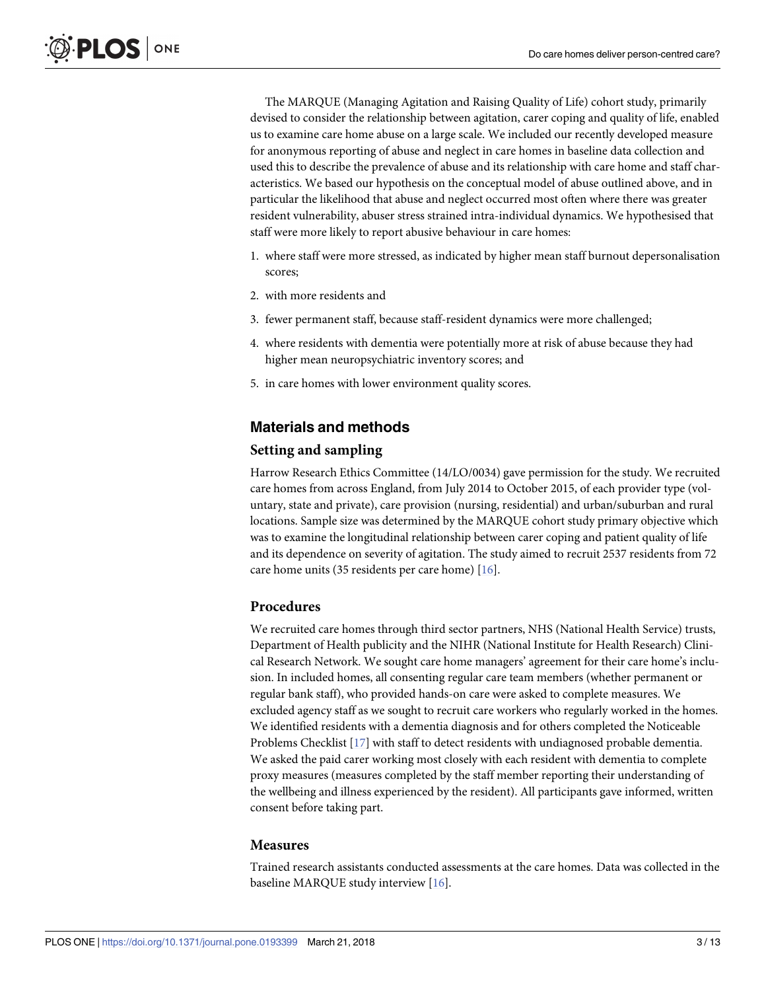<span id="page-2-0"></span>The MARQUE (Managing Agitation and Raising Quality of Life) cohort study, primarily devised to consider the relationship between agitation, carer coping and quality of life, enabled us to examine care home abuse on a large scale. We included our recently developed measure for anonymous reporting of abuse and neglect in care homes in baseline data collection and used this to describe the prevalence of abuse and its relationship with care home and staff characteristics. We based our hypothesis on the conceptual model of abuse outlined above, and in particular the likelihood that abuse and neglect occurred most often where there was greater resident vulnerability, abuser stress strained intra-individual dynamics. We hypothesised that staff were more likely to report abusive behaviour in care homes:

- 1. where staff were more stressed, as indicated by higher mean staff burnout depersonalisation scores;
- 2. with more residents and
- 3. fewer permanent staff, because staff-resident dynamics were more challenged;
- 4. where residents with dementia were potentially more at risk of abuse because they had higher mean neuropsychiatric inventory scores; and
- 5. in care homes with lower environment quality scores.

### **Materials and methods**

#### **Setting and sampling**

Harrow Research Ethics Committee (14/LO/0034) gave permission for the study. We recruited care homes from across England, from July 2014 to October 2015, of each provider type (voluntary, state and private), care provision (nursing, residential) and urban/suburban and rural locations. Sample size was determined by the MARQUE cohort study primary objective which was to examine the longitudinal relationship between carer coping and patient quality of life and its dependence on severity of agitation. The study aimed to recruit 2537 residents from 72 care home units (35 residents per care home) [[16](#page-11-0)].

#### **Procedures**

We recruited care homes through third sector partners, NHS (National Health Service) trusts, Department of Health publicity and the NIHR (National Institute for Health Research) Clinical Research Network. We sought care home managers' agreement for their care home's inclusion. In included homes, all consenting regular care team members (whether permanent or regular bank staff), who provided hands-on care were asked to complete measures. We excluded agency staff as we sought to recruit care workers who regularly worked in the homes. We identified residents with a dementia diagnosis and for others completed the Noticeable Problems Checklist [[17](#page-11-0)] with staff to detect residents with undiagnosed probable dementia. We asked the paid carer working most closely with each resident with dementia to complete proxy measures (measures completed by the staff member reporting their understanding of the wellbeing and illness experienced by the resident). All participants gave informed, written consent before taking part.

#### **Measures**

Trained research assistants conducted assessments at the care homes. Data was collected in the baseline MARQUE study interview [[16](#page-11-0)].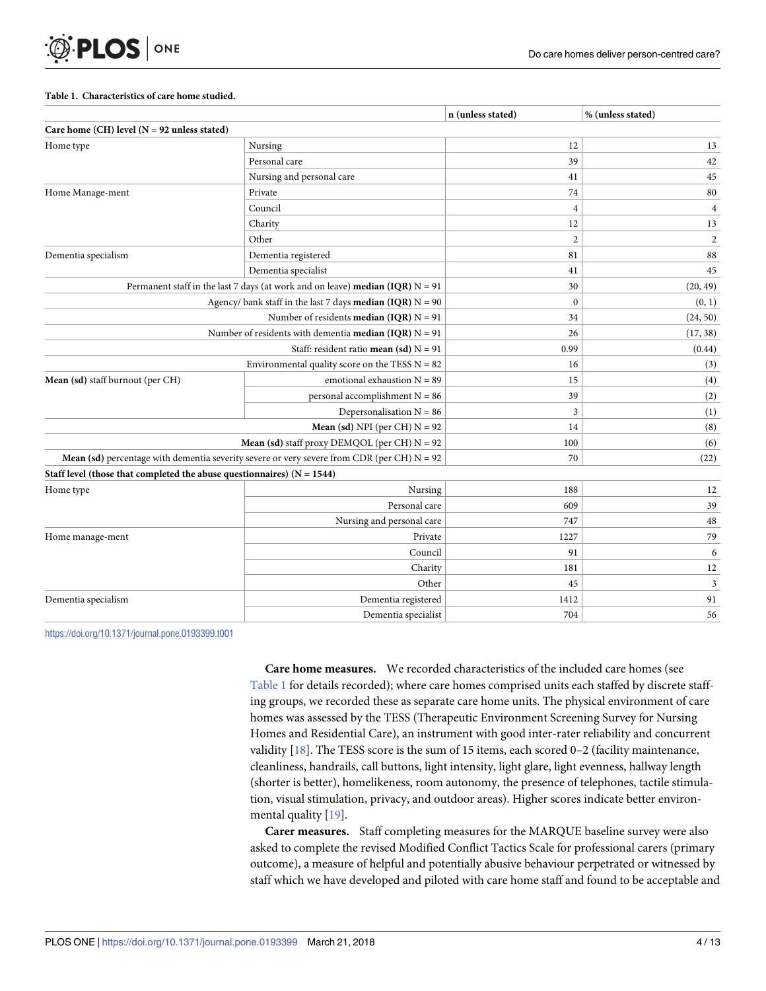#### **Table 1. Characteristics of care home studied.**

<span id="page-3-0"></span>**PLOS** ONE

|                                                                          |                                                                                                     | n (unless stated) | % (unless stated) |
|--------------------------------------------------------------------------|-----------------------------------------------------------------------------------------------------|-------------------|-------------------|
| Care home $(CH)$ level $(N = 92$ unless stated)                          |                                                                                                     |                   |                   |
| Home type                                                                | Nursing                                                                                             | 12                | 13                |
|                                                                          | Personal care                                                                                       | 39                | 42                |
|                                                                          | Nursing and personal care                                                                           | 41                | 45                |
| Home Manage-ment                                                         | Private                                                                                             | 74                | 80                |
|                                                                          | Council                                                                                             | $\overline{4}$    | $\overline{4}$    |
|                                                                          | Charity                                                                                             | 12                | 13                |
|                                                                          | Other                                                                                               | $\overline{2}$    | $\overline{c}$    |
| Dementia specialism                                                      | Dementia registered                                                                                 | 81                | 88                |
|                                                                          | Dementia specialist                                                                                 | 41                | 45                |
|                                                                          | Permanent staff in the last 7 days (at work and on leave) median (IQR) $N = 91$                     | 30                | (20, 49)          |
|                                                                          | Agency/ bank staff in the last 7 days <b>median (IQR)</b> $N = 90$                                  | $\mathbf{0}$      | (0, 1)            |
|                                                                          | Number of residents <b>median</b> (IQR) $N = 91$                                                    | 34                | (24, 50)          |
|                                                                          | Number of residents with dementia <b>median</b> (IQR) $N = 91$                                      | 26                | (17, 38)          |
|                                                                          | Staff: resident ratio mean (sd) $N = 91$                                                            | 0.99              | (0.44)            |
|                                                                          | Environmental quality score on the TESS $N = 82$                                                    | 16                | (3)               |
| Mean (sd) staff burnout (per CH)                                         | emotional exhaustion $N = 89$                                                                       | 15                | (4)               |
|                                                                          | personal accomplishment $N = 86$                                                                    | 39                | (2)               |
|                                                                          | Depersonalisation $N = 86$                                                                          | $\overline{3}$    | (1)               |
|                                                                          | <b>Mean (sd)</b> NPI (per CH) $N = 92$                                                              | 14                | (8)               |
|                                                                          | <b>Mean (sd)</b> staff proxy DEMQOL (per CH) $N = 92$                                               | 100               | (6)               |
|                                                                          | <b>Mean (sd)</b> percentage with dementia severity severe or very severe from CDR (per CH) $N = 92$ | 70                | (22)              |
| Staff level (those that completed the abuse questionnaires) $(N = 1544)$ |                                                                                                     |                   |                   |
| Home type                                                                | Nursing                                                                                             | 188               | 12                |
|                                                                          | Personal care                                                                                       | 609               | 39                |
|                                                                          | Nursing and personal care                                                                           | 747               | 48                |
| Home manage-ment                                                         | Private                                                                                             | 1227              | 79                |
|                                                                          | Council                                                                                             | 91                | 6                 |
|                                                                          | Charity                                                                                             | 181               | 12                |
|                                                                          | Other                                                                                               | 45                | $\mathfrak z$     |
| Dementia specialism                                                      | Dementia registered                                                                                 | 1412              | 91                |
|                                                                          | Dementia specialist                                                                                 | 704               | 56                |

<https://doi.org/10.1371/journal.pone.0193399.t001>

**Care home measures.** We recorded characteristics of the included care homes (see Table 1 for details recorded); where care homes comprised units each staffed by discrete staffing groups, we recorded these as separate care home units. The physical environment of care homes was assessed by the TESS (Therapeutic Environment Screening Survey for Nursing Homes and Residential Care), an instrument with good inter-rater reliability and concurrent validity [\[18\]](#page-11-0). The TESS score is the sum of 15 items, each scored 0-2 (facility maintenance, cleanliness, handrails, call buttons, light intensity, light glare, light evenness, hallway length (shorter is better), homelikeness, room autonomy, the presence of telephones, tactile stimulation, visual stimulation, privacy, and outdoor areas). Higher scores indicate better environmental quality [[19](#page-11-0)].

**Carer measures.** Staff completing measures for the MARQUE baseline survey were also asked to complete the revised Modified Conflict Tactics Scale for professional carers (primary outcome), a measure of helpful and potentially abusive behaviour perpetrated or witnessed by staff which we have developed and piloted with care home staff and found to be acceptable and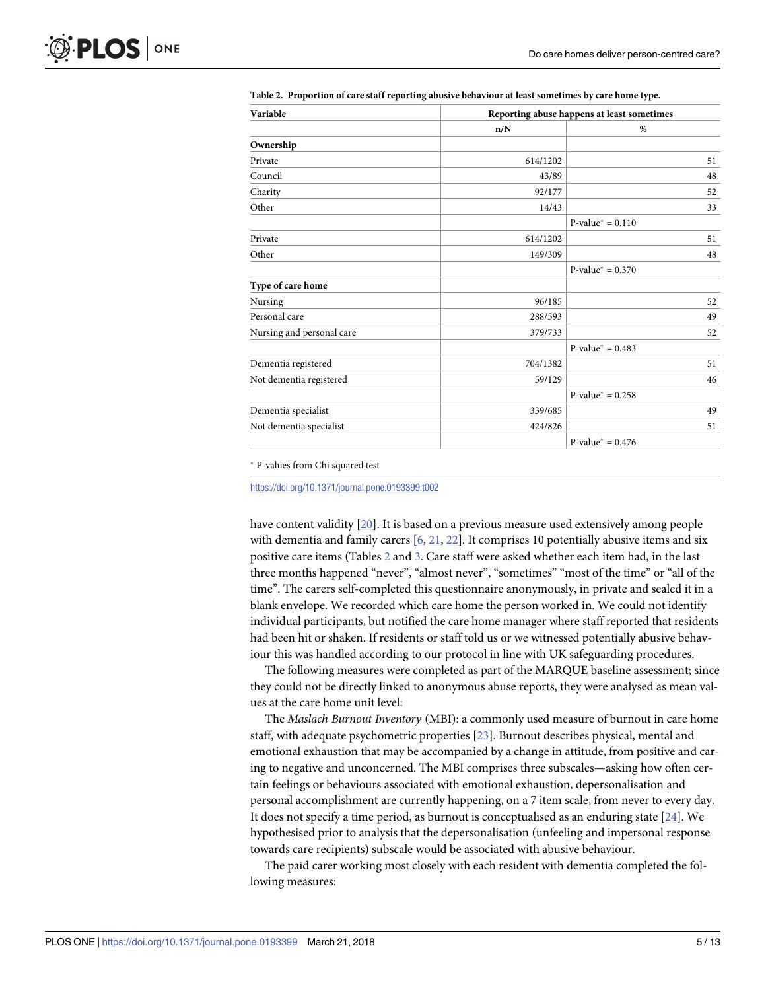| Variable                  | Reporting abuse happens at least sometimes |                     |  |  |  |  |
|---------------------------|--------------------------------------------|---------------------|--|--|--|--|
|                           | n/N                                        | %                   |  |  |  |  |
| Ownership                 |                                            |                     |  |  |  |  |
| Private                   | 614/1202                                   | 51                  |  |  |  |  |
| Council                   | 43/89                                      | 48                  |  |  |  |  |
| Charity                   | 92/177                                     | 52                  |  |  |  |  |
| Other                     | 14/43                                      | 33                  |  |  |  |  |
|                           |                                            | $P-value^* = 0.110$ |  |  |  |  |
| Private                   | 614/1202                                   | 51                  |  |  |  |  |
| Other                     | 149/309                                    | 48                  |  |  |  |  |
|                           |                                            | $P-value^* = 0.370$ |  |  |  |  |
| Type of care home         |                                            |                     |  |  |  |  |
| Nursing                   | 96/185                                     | 52                  |  |  |  |  |
| Personal care             | 288/593                                    | 49                  |  |  |  |  |
| Nursing and personal care | 379/733                                    | 52                  |  |  |  |  |
|                           |                                            | $P-value^* = 0.483$ |  |  |  |  |
| Dementia registered       | 704/1382                                   | 51                  |  |  |  |  |
| Not dementia registered   | 59/129                                     | 46                  |  |  |  |  |
|                           |                                            | $P-value^* = 0.258$ |  |  |  |  |
| Dementia specialist       | 339/685                                    | 49                  |  |  |  |  |
| Not dementia specialist   | 424/826                                    | 51                  |  |  |  |  |
|                           |                                            | $P-value^* = 0.476$ |  |  |  |  |

<span id="page-4-0"></span>**Table 2. Proportion of care staff reporting abusive behaviour at least sometimes by care home type.**

P-values from Chi squared test

<https://doi.org/10.1371/journal.pone.0193399.t002>

have content validity [\[20\]](#page-11-0). It is based on a previous measure used extensively among people with dementia and family carers  $[6, 21, 22]$  $[6, 21, 22]$  $[6, 21, 22]$  $[6, 21, 22]$  $[6, 21, 22]$  $[6, 21, 22]$  $[6, 21, 22]$ . It comprises 10 potentially abusive items and six positive care items (Tables 2 and [3](#page-5-0). Care staff were asked whether each item had, in the last three months happened "never", "almost never", "sometimes" "most of the time" or "all of the time". The carers self-completed this questionnaire anonymously, in private and sealed it in a blank envelope. We recorded which care home the person worked in. We could not identify individual participants, but notified the care home manager where staff reported that residents had been hit or shaken. If residents or staff told us or we witnessed potentially abusive behaviour this was handled according to our protocol in line with UK safeguarding procedures.

The following measures were completed as part of the MARQUE baseline assessment; since they could not be directly linked to anonymous abuse reports, they were analysed as mean values at the care home unit level:

The *Maslach Burnout Inventory* (MBI): a commonly used measure of burnout in care home staff, with adequate psychometric properties [\[23\]](#page-12-0). Burnout describes physical, mental and emotional exhaustion that may be accompanied by a change in attitude, from positive and caring to negative and unconcerned. The MBI comprises three subscales—asking how often certain feelings or behaviours associated with emotional exhaustion, depersonalisation and personal accomplishment are currently happening, on a 7 item scale, from never to every day. It does not specify a time period, as burnout is conceptualised as an enduring state [[24](#page-12-0)]. We hypothesised prior to analysis that the depersonalisation (unfeeling and impersonal response towards care recipients) subscale would be associated with abusive behaviour.

The paid carer working most closely with each resident with dementia completed the following measures: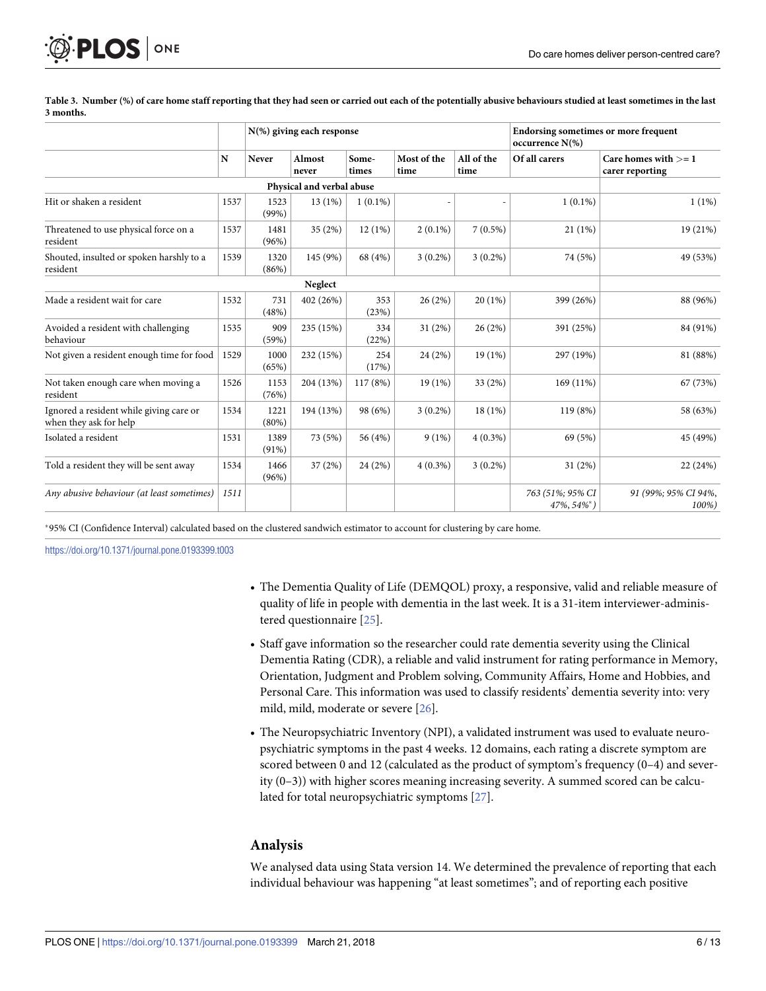<span id="page-5-0"></span>

|                                                                   |             | N(%) giving each response |                 |                |                     |                    | <b>Endorsing sometimes or more frequent</b><br>occurrence $N(\%)$ |                                           |  |  |
|-------------------------------------------------------------------|-------------|---------------------------|-----------------|----------------|---------------------|--------------------|-------------------------------------------------------------------|-------------------------------------------|--|--|
|                                                                   | $\mathbf N$ | Never                     | Almost<br>never | Some-<br>times | Most of the<br>time | All of the<br>time | Of all carers                                                     | Care homes with $>= 1$<br>carer reporting |  |  |
| Physical and verbal abuse                                         |             |                           |                 |                |                     |                    |                                                                   |                                           |  |  |
| Hit or shaken a resident                                          | 1537        | 1523<br>(99%)             | 13 (1%)         | $1(0.1\%)$     |                     |                    | $1(0.1\%)$                                                        | $1(1\%)$                                  |  |  |
| Threatened to use physical force on a<br>resident                 | 1537        | 1481<br>(96%)             | 35 (2%)         | 12(1%)         | $2(0.1\%)$          | $7(0.5\%)$         | 21(1%)                                                            | 19 (21%)                                  |  |  |
| Shouted, insulted or spoken harshly to a<br>resident              | 1539        | 1320<br>(86%)             | 145 (9%)        | 68 (4%)        | $3(0.2\%)$          | $3(0.2\%)$         | 74 (5%)                                                           | 49 (53%)                                  |  |  |
|                                                                   |             |                           |                 |                |                     |                    |                                                                   |                                           |  |  |
| Made a resident wait for care                                     | 1532        | 731<br>(48%)              | 402 (26%)       | 353<br>(23%)   | 26(2%)              | 20(1%)             | 399 (26%)                                                         | 88 (96%)                                  |  |  |
| Avoided a resident with challenging<br>behaviour                  | 1535        | 909<br>(59%)              | 235 (15%)       | 334<br>(22%)   | 31(2%)              | 26(2%)             | 391 (25%)                                                         | 84 (91%)                                  |  |  |
| Not given a resident enough time for food                         | 1529        | 1000<br>(65%)             | 232 (15%)       | 254<br>(17%)   | 24 (2%)             | 19(1%)             | 297 (19%)                                                         | 81 (88%)                                  |  |  |
| Not taken enough care when moving a<br>resident                   | 1526        | 1153<br>(76%)             | 204 (13%)       | 117 (8%)       | 19(1%)              | 33 (2%)            | 169 (11%)                                                         | 67 (73%)                                  |  |  |
| Ignored a resident while giving care or<br>when they ask for help | 1534        | 1221<br>$(80\%)$          | 194 (13%)       | 98 (6%)        | $3(0.2\%)$          | 18(1%)             | 119 (8%)                                                          | 58 (63%)                                  |  |  |
| Isolated a resident                                               | 1531        | 1389<br>(91%)             | 73 (5%)         | 56 (4%)        | 9(1%)               | $4(0.3\%)$         | 69 (5%)                                                           | 45 (49%)                                  |  |  |
| Told a resident they will be sent away                            | 1534        | 1466<br>(96%)             | 37 (2%)         | 24 (2%)        | $4(0.3\%)$          | $3(0.2\%)$         | 31(2%)                                                            | 22 (24%)                                  |  |  |
| Any abusive behaviour (at least sometimes)                        | 1511        |                           |                 |                |                     |                    | 763 (51%; 95% CI<br>$47\%, 54\%^*$ )                              | 91 (99%; 95% CI 94%,<br>100%)             |  |  |

[Table](#page-4-0) 3. Number (%) of care home staff reporting that they had seen or carried out each of the potentially abusive behaviours studied at least sometimes in the last **3 months.**

95% CI (Confidence Interval) calculated based on the clustered sandwich estimator to account for clustering by care home.

<https://doi.org/10.1371/journal.pone.0193399.t003>

- The Dementia Quality of Life (DEMQOL) proxy, a responsive, valid and reliable measure of quality of life in people with dementia in the last week. It is a 31-item interviewer-administered questionnaire [[25](#page-12-0)].
- Staff gave information so the researcher could rate dementia severity using the Clinical Dementia Rating (CDR), a reliable and valid instrument for rating performance in Memory, Orientation, Judgment and Problem solving, Community Affairs, Home and Hobbies, and Personal Care. This information was used to classify residents' dementia severity into: very mild, mild, moderate or severe [\[26\]](#page-12-0).
- The Neuropsychiatric Inventory (NPI), a validated instrument was used to evaluate neuropsychiatric symptoms in the past 4 weeks. 12 domains, each rating a discrete symptom are scored between 0 and 12 (calculated as the product of symptom's frequency (0–4) and severity (0–3)) with higher scores meaning increasing severity. A summed scored can be calculated for total neuropsychiatric symptoms [[27](#page-12-0)].

#### **Analysis**

We analysed data using Stata version 14. We determined the prevalence of reporting that each individual behaviour was happening "at least sometimes"; and of reporting each positive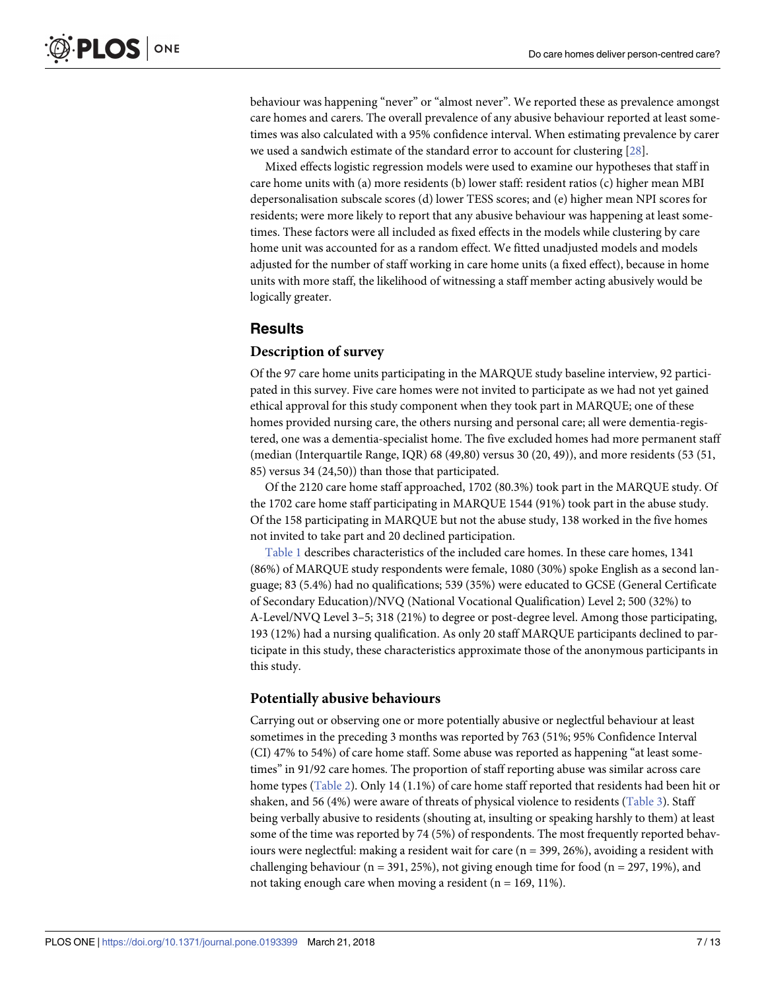<span id="page-6-0"></span>behaviour was happening "never" or "almost never". We reported these as prevalence amongst care homes and carers. The overall prevalence of any abusive behaviour reported at least sometimes was also calculated with a 95% confidence interval. When estimating prevalence by carer we used a sandwich estimate of the standard error to account for clustering [\[28\]](#page-12-0).

Mixed effects logistic regression models were used to examine our hypotheses that staff in care home units with (a) more residents (b) lower staff: resident ratios (c) higher mean MBI depersonalisation subscale scores (d) lower TESS scores; and (e) higher mean NPI scores for residents; were more likely to report that any abusive behaviour was happening at least sometimes. These factors were all included as fixed effects in the models while clustering by care home unit was accounted for as a random effect. We fitted unadjusted models and models adjusted for the number of staff working in care home units (a fixed effect), because in home units with more staff, the likelihood of witnessing a staff member acting abusively would be logically greater.

### **Results**

#### **Description of survey**

Of the 97 care home units participating in the MARQUE study baseline interview, 92 participated in this survey. Five care homes were not invited to participate as we had not yet gained ethical approval for this study component when they took part in MARQUE; one of these homes provided nursing care, the others nursing and personal care; all were dementia-registered, one was a dementia-specialist home. The five excluded homes had more permanent staff (median (Interquartile Range, IQR) 68 (49,80) versus 30 (20, 49)), and more residents (53 (51, 85) versus 34 (24,50)) than those that participated.

Of the 2120 care home staff approached, 1702 (80.3%) took part in the MARQUE study. Of the 1702 care home staff participating in MARQUE 1544 (91%) took part in the abuse study. Of the 158 participating in MARQUE but not the abuse study, 138 worked in the five homes not invited to take part and 20 declined participation.

[Table](#page-3-0) 1 describes characteristics of the included care homes. In these care homes, 1341 (86%) of MARQUE study respondents were female, 1080 (30%) spoke English as a second language; 83 (5.4%) had no qualifications; 539 (35%) were educated to GCSE (General Certificate of Secondary Education)/NVQ (National Vocational Qualification) Level 2; 500 (32%) to A-Level/NVQ Level 3–5; 318 (21%) to degree or post-degree level. Among those participating, 193 (12%) had a nursing qualification. As only 20 staff MARQUE participants declined to participate in this study, these characteristics approximate those of the anonymous participants in this study.

#### **Potentially abusive behaviours**

Carrying out or observing one or more potentially abusive or neglectful behaviour at least sometimes in the preceding 3 months was reported by 763 (51%; 95% Confidence Interval (CI) 47% to 54%) of care home staff. Some abuse was reported as happening "at least sometimes" in 91/92 care homes. The proportion of staff reporting abuse was similar across care home types [\(Table](#page-4-0) 2). Only 14 (1.1%) of care home staff reported that residents had been hit or shaken, and 56 (4%) were aware of threats of physical violence to residents ([Table](#page-5-0) 3). Staff being verbally abusive to residents (shouting at, insulting or speaking harshly to them) at least some of the time was reported by 74 (5%) of respondents. The most frequently reported behaviours were neglectful: making a resident wait for care (n = 399, 26%), avoiding a resident with challenging behaviour ( $n = 391, 25\%$ ), not giving enough time for food ( $n = 297, 19\%$ ), and not taking enough care when moving a resident ( $n = 169, 11\%$ ).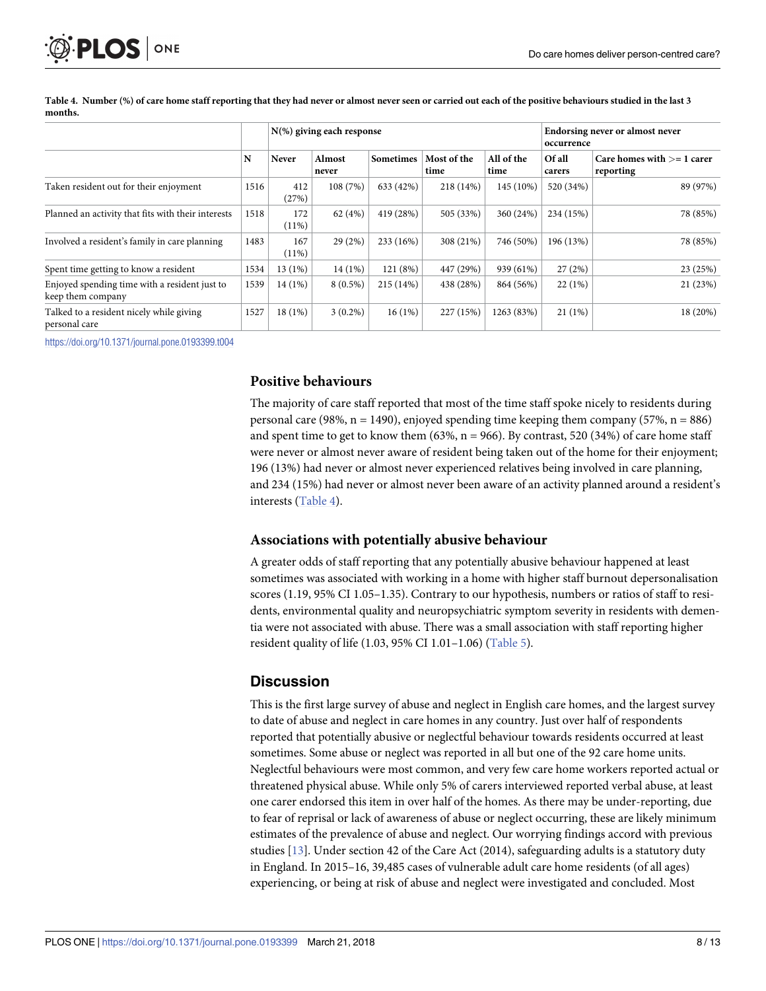<span id="page-7-0"></span>

|                                                                    | N    | $N(\%)$ giving each response |                 |                  |                     |                    |                  | Endorsing never or almost never<br>occurrence |  |
|--------------------------------------------------------------------|------|------------------------------|-----------------|------------------|---------------------|--------------------|------------------|-----------------------------------------------|--|
|                                                                    |      | Never                        | Almost<br>never | <b>Sometimes</b> | Most of the<br>time | All of the<br>time | Of all<br>carers | Care homes with $>= 1$ carer<br>reporting     |  |
| Taken resident out for their enjoyment                             | 1516 | 412<br>(27%)                 | 108(7%)         | 633 (42%)        | 218 (14%)           | 145 (10%)          | 520 (34%)        | 89 (97%)                                      |  |
| Planned an activity that fits with their interests                 | 1518 | 172<br>$(11\%)$              | 62(4%)          | 419 (28%)        | 505 (33%)           | 360 (24%)          | 234 (15%)        | 78 (85%)                                      |  |
| Involved a resident's family in care planning                      | 1483 | 167<br>$(11\%)$              | 29(2%)          | 233 (16%)        | 308 (21%)           | 746 (50%)          | 196 (13%)        | 78 (85%)                                      |  |
| Spent time getting to know a resident                              | 1534 | 13(1%)                       | 14(1%)          | 121 (8%)         | 447 (29%)           | 939 (61%)          | 27(2%)           | 23 (25%)                                      |  |
| Enjoyed spending time with a resident just to<br>keep them company | 1539 | 14(1%)                       | $8(0.5\%)$      | 215 (14%)        | 438 (28%)           | 864 (56%)          | $22(1\%)$        | 21 (23%)                                      |  |
| Talked to a resident nicely while giving<br>personal care          | 1527 | 18(1%)                       | $3(0.2\%)$      | 16(1%)           | 227 (15%)           | 1263 (83%)         | $21(1\%)$        | 18 (20%)                                      |  |

Table 4. Number (%) of care home staff reporting that they had never or almost never seen or carried out each of the positive behaviours studied in the last 3 **months.**

<https://doi.org/10.1371/journal.pone.0193399.t004>

#### **Positive behaviours**

The majority of care staff reported that most of the time staff spoke nicely to residents during personal care (98%,  $n = 1490$ ), enjoyed spending time keeping them company (57%,  $n = 886$ ) and spent time to get to know them  $(63\%, n = 966)$ . By contrast, 520  $(34\%)$  of care home staff were never or almost never aware of resident being taken out of the home for their enjoyment; 196 (13%) had never or almost never experienced relatives being involved in care planning, and 234 (15%) had never or almost never been aware of an activity planned around a resident's interests (Table 4).

#### **Associations with potentially abusive behaviour**

A greater odds of staff reporting that any potentially abusive behaviour happened at least sometimes was associated with working in a home with higher staff burnout depersonalisation scores (1.19, 95% CI 1.05–1.35). Contrary to our hypothesis, numbers or ratios of staff to residents, environmental quality and neuropsychiatric symptom severity in residents with dementia were not associated with abuse. There was a small association with staff reporting higher resident quality of life (1.03, 95% CI 1.01–1.06) ([Table](#page-8-0) 5).

## **Discussion**

This is the first large survey of abuse and neglect in English care homes, and the largest survey to date of abuse and neglect in care homes in any country. Just over half of respondents reported that potentially abusive or neglectful behaviour towards residents occurred at least sometimes. Some abuse or neglect was reported in all but one of the 92 care home units. Neglectful behaviours were most common, and very few care home workers reported actual or threatened physical abuse. While only 5% of carers interviewed reported verbal abuse, at least one carer endorsed this item in over half of the homes. As there may be under-reporting, due to fear of reprisal or lack of awareness of abuse or neglect occurring, these are likely minimum estimates of the prevalence of abuse and neglect. Our worrying findings accord with previous studies [\[13\]](#page-11-0). Under section 42 of the Care Act (2014), safeguarding adults is a statutory duty in England. In 2015–16, 39,485 cases of vulnerable adult care home residents (of all ages) experiencing, or being at risk of abuse and neglect were investigated and concluded. Most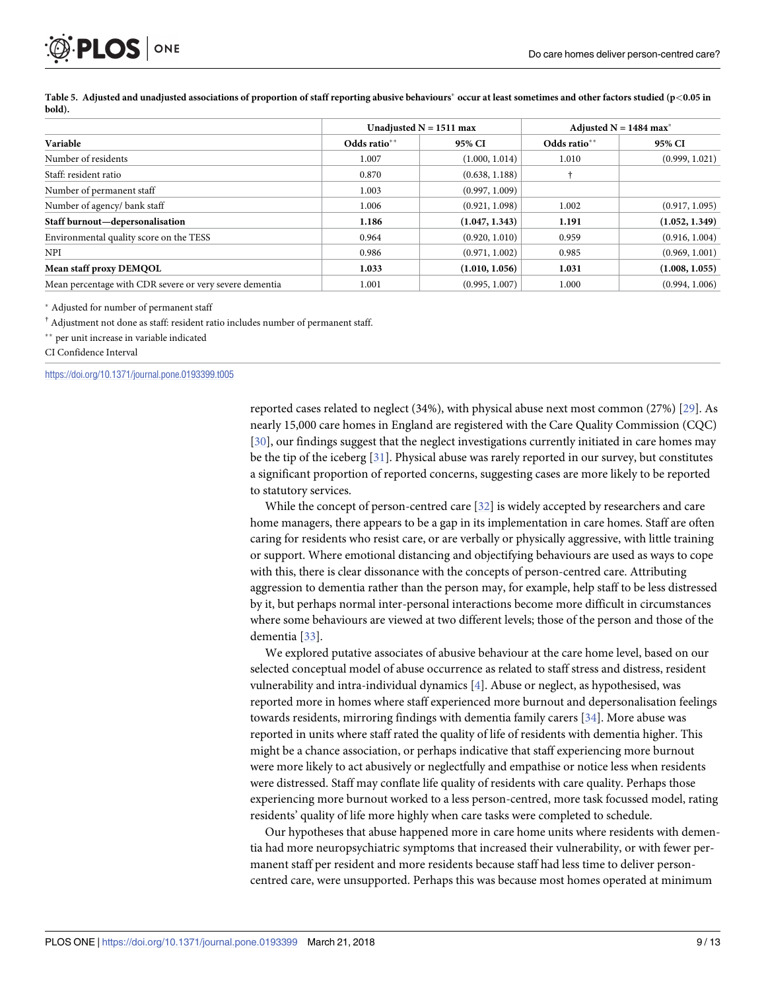<span id="page-8-0"></span>PLOS ONE

|                                                         |              | Unadjusted $N = 1511$ max | Adjusted $N = 1484$ max <sup>*</sup> |                |  |
|---------------------------------------------------------|--------------|---------------------------|--------------------------------------|----------------|--|
| Variable                                                | Odds ratio** | 95% CI                    | Odds ratio**                         | 95% CI         |  |
| Number of residents                                     | 1.007        | (1.000, 1.014)            | 1.010                                | (0.999, 1.021) |  |
| Staff: resident ratio                                   | 0.870        | (0.638, 1.188)            |                                      |                |  |
| Number of permanent staff                               | 1.003        | (0.997, 1.009)            |                                      |                |  |
| Number of agency/ bank staff                            | 1.006        | (0.921, 1.098)            | 1.002                                | (0.917, 1.095) |  |
| Staff burnout—depersonalisation                         | 1.186        | (1.047, 1.343)            | 1.191                                | (1.052, 1.349) |  |
| Environmental quality score on the TESS                 | 0.964        | (0.920, 1.010)            | 0.959                                | (0.916, 1.004) |  |
| <b>NPI</b>                                              | 0.986        | (0.971, 1.002)            | 0.985                                | (0.969, 1.001) |  |
| Mean staff proxy DEMQOL                                 | 1.033        | (1.010, 1.056)            | 1.031                                | (1.008, 1.055) |  |
| Mean percentage with CDR severe or very severe dementia | 1.001        | (0.995, 1.007)            | 1.000                                | (0.994, 1.006) |  |

[Table](#page-7-0) 5. Adjusted and unadjusted associations of proportion of staff reporting abusive behaviours\* occur at least sometimes and other factors studied (p<0.05 in **bold).**

Adjusted for number of permanent staff

† Adjustment not done as staff: resident ratio includes number of permanent staff.

per unit increase in variable indicated

CI Confidence Interval

<https://doi.org/10.1371/journal.pone.0193399.t005>

reported cases related to neglect (34%), with physical abuse next most common (27%) [\[29\]](#page-12-0). As nearly 15,000 care homes in England are registered with the Care Quality Commission (CQC) [\[30\]](#page-12-0), our findings suggest that the neglect investigations currently initiated in care homes may be the tip of the iceberg [\[31\]](#page-12-0). Physical abuse was rarely reported in our survey, but constitutes a significant proportion of reported concerns, suggesting cases are more likely to be reported to statutory services.

While the concept of person-centred care [\[32\]](#page-12-0) is widely accepted by researchers and care home managers, there appears to be a gap in its implementation in care homes. Staff are often caring for residents who resist care, or are verbally or physically aggressive, with little training or support. Where emotional distancing and objectifying behaviours are used as ways to cope with this, there is clear dissonance with the concepts of person-centred care. Attributing aggression to dementia rather than the person may, for example, help staff to be less distressed by it, but perhaps normal inter-personal interactions become more difficult in circumstances where some behaviours are viewed at two different levels; those of the person and those of the dementia [\[33\]](#page-12-0).

We explored putative associates of abusive behaviour at the care home level, based on our selected conceptual model of abuse occurrence as related to staff stress and distress, resident vulnerability and intra-individual dynamics [[4](#page-11-0)]. Abuse or neglect, as hypothesised, was reported more in homes where staff experienced more burnout and depersonalisation feelings towards residents, mirroring findings with dementia family carers [[34](#page-12-0)]. More abuse was reported in units where staff rated the quality of life of residents with dementia higher. This might be a chance association, or perhaps indicative that staff experiencing more burnout were more likely to act abusively or neglectfully and empathise or notice less when residents were distressed. Staff may conflate life quality of residents with care quality. Perhaps those experiencing more burnout worked to a less person-centred, more task focussed model, rating residents' quality of life more highly when care tasks were completed to schedule.

Our hypotheses that abuse happened more in care home units where residents with dementia had more neuropsychiatric symptoms that increased their vulnerability, or with fewer permanent staff per resident and more residents because staff had less time to deliver personcentred care, were unsupported. Perhaps this was because most homes operated at minimum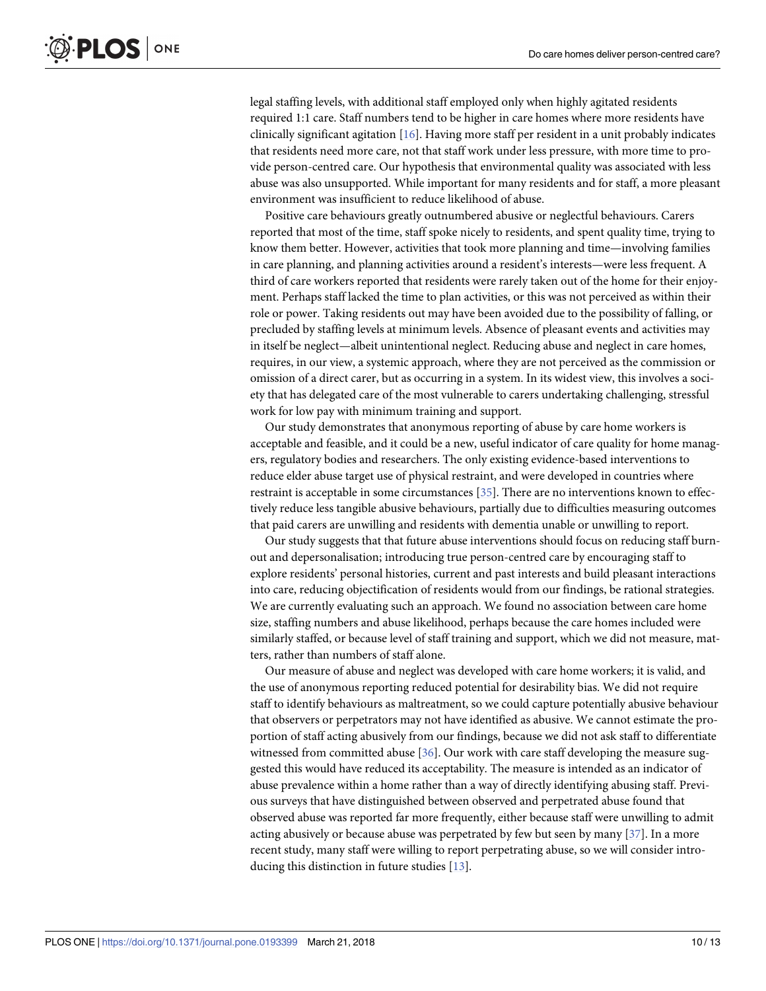<span id="page-9-0"></span>legal staffing levels, with additional staff employed only when highly agitated residents required 1:1 care. Staff numbers tend to be higher in care homes where more residents have clinically significant agitation  $[16]$ . Having more staff per resident in a unit probably indicates that residents need more care, not that staff work under less pressure, with more time to provide person-centred care. Our hypothesis that environmental quality was associated with less abuse was also unsupported. While important for many residents and for staff, a more pleasant environment was insufficient to reduce likelihood of abuse.

Positive care behaviours greatly outnumbered abusive or neglectful behaviours. Carers reported that most of the time, staff spoke nicely to residents, and spent quality time, trying to know them better. However, activities that took more planning and time—involving families in care planning, and planning activities around a resident's interests—were less frequent. A third of care workers reported that residents were rarely taken out of the home for their enjoyment. Perhaps staff lacked the time to plan activities, or this was not perceived as within their role or power. Taking residents out may have been avoided due to the possibility of falling, or precluded by staffing levels at minimum levels. Absence of pleasant events and activities may in itself be neglect—albeit unintentional neglect. Reducing abuse and neglect in care homes, requires, in our view, a systemic approach, where they are not perceived as the commission or omission of a direct carer, but as occurring in a system. In its widest view, this involves a society that has delegated care of the most vulnerable to carers undertaking challenging, stressful work for low pay with minimum training and support.

Our study demonstrates that anonymous reporting of abuse by care home workers is acceptable and feasible, and it could be a new, useful indicator of care quality for home managers, regulatory bodies and researchers. The only existing evidence-based interventions to reduce elder abuse target use of physical restraint, and were developed in countries where restraint is acceptable in some circumstances [\[35\]](#page-12-0). There are no interventions known to effectively reduce less tangible abusive behaviours, partially due to difficulties measuring outcomes that paid carers are unwilling and residents with dementia unable or unwilling to report.

Our study suggests that that future abuse interventions should focus on reducing staff burnout and depersonalisation; introducing true person-centred care by encouraging staff to explore residents' personal histories, current and past interests and build pleasant interactions into care, reducing objectification of residents would from our findings, be rational strategies. We are currently evaluating such an approach. We found no association between care home size, staffing numbers and abuse likelihood, perhaps because the care homes included were similarly staffed, or because level of staff training and support, which we did not measure, matters, rather than numbers of staff alone.

Our measure of abuse and neglect was developed with care home workers; it is valid, and the use of anonymous reporting reduced potential for desirability bias. We did not require staff to identify behaviours as maltreatment, so we could capture potentially abusive behaviour that observers or perpetrators may not have identified as abusive. We cannot estimate the proportion of staff acting abusively from our findings, because we did not ask staff to differentiate witnessed from committed abuse [\[36\]](#page-12-0). Our work with care staff developing the measure suggested this would have reduced its acceptability. The measure is intended as an indicator of abuse prevalence within a home rather than a way of directly identifying abusing staff. Previous surveys that have distinguished between observed and perpetrated abuse found that observed abuse was reported far more frequently, either because staff were unwilling to admit acting abusively or because abuse was perpetrated by few but seen by many [[37](#page-12-0)]. In a more recent study, many staff were willing to report perpetrating abuse, so we will consider introducing this distinction in future studies [\[13\]](#page-11-0).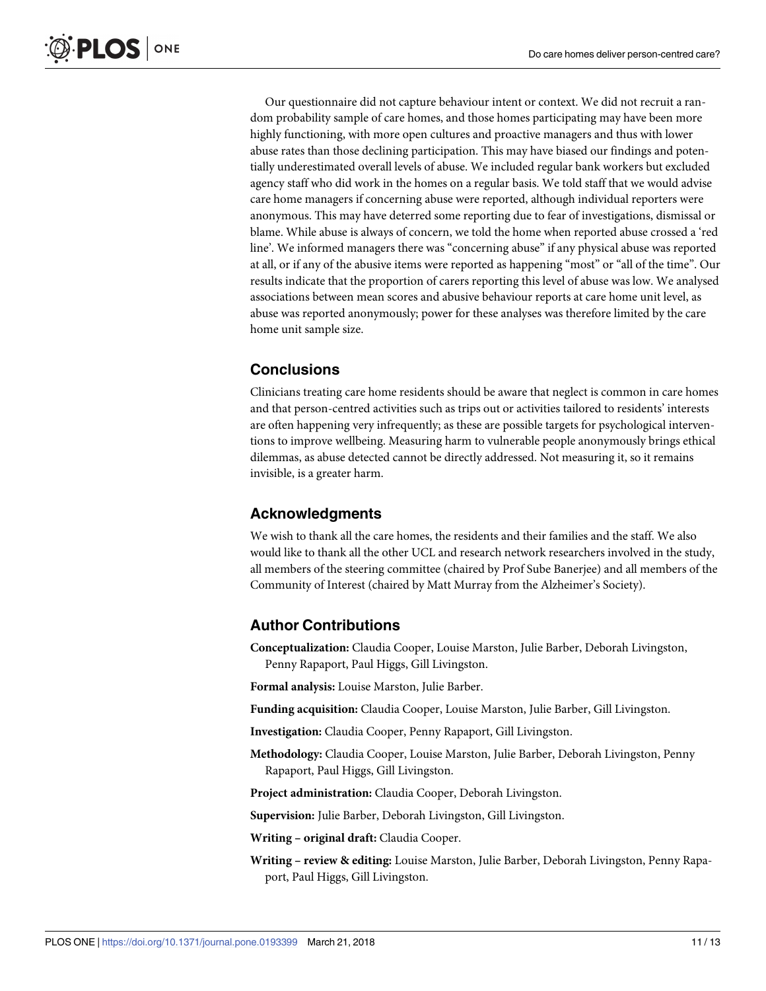Our questionnaire did not capture behaviour intent or context. We did not recruit a random probability sample of care homes, and those homes participating may have been more highly functioning, with more open cultures and proactive managers and thus with lower abuse rates than those declining participation. This may have biased our findings and potentially underestimated overall levels of abuse. We included regular bank workers but excluded agency staff who did work in the homes on a regular basis. We told staff that we would advise care home managers if concerning abuse were reported, although individual reporters were anonymous. This may have deterred some reporting due to fear of investigations, dismissal or blame. While abuse is always of concern, we told the home when reported abuse crossed a 'red line'. We informed managers there was "concerning abuse" if any physical abuse was reported at all, or if any of the abusive items were reported as happening "most" or "all of the time". Our results indicate that the proportion of carers reporting this level of abuse was low. We analysed associations between mean scores and abusive behaviour reports at care home unit level, as abuse was reported anonymously; power for these analyses was therefore limited by the care home unit sample size.

# **Conclusions**

Clinicians treating care home residents should be aware that neglect is common in care homes and that person-centred activities such as trips out or activities tailored to residents' interests are often happening very infrequently; as these are possible targets for psychological interventions to improve wellbeing. Measuring harm to vulnerable people anonymously brings ethical dilemmas, as abuse detected cannot be directly addressed. Not measuring it, so it remains invisible, is a greater harm.

# **Acknowledgments**

We wish to thank all the care homes, the residents and their families and the staff. We also would like to thank all the other UCL and research network researchers involved in the study, all members of the steering committee (chaired by Prof Sube Banerjee) and all members of the Community of Interest (chaired by Matt Murray from the Alzheimer's Society).

# **Author Contributions**

**Conceptualization:** Claudia Cooper, Louise Marston, Julie Barber, Deborah Livingston, Penny Rapaport, Paul Higgs, Gill Livingston.

**Formal analysis:** Louise Marston, Julie Barber.

**Funding acquisition:** Claudia Cooper, Louise Marston, Julie Barber, Gill Livingston.

**Investigation:** Claudia Cooper, Penny Rapaport, Gill Livingston.

**Methodology:** Claudia Cooper, Louise Marston, Julie Barber, Deborah Livingston, Penny Rapaport, Paul Higgs, Gill Livingston.

**Project administration:** Claudia Cooper, Deborah Livingston.

**Supervision:** Julie Barber, Deborah Livingston, Gill Livingston.

**Writing – original draft:** Claudia Cooper.

**Writing – review & editing:** Louise Marston, Julie Barber, Deborah Livingston, Penny Rapaport, Paul Higgs, Gill Livingston.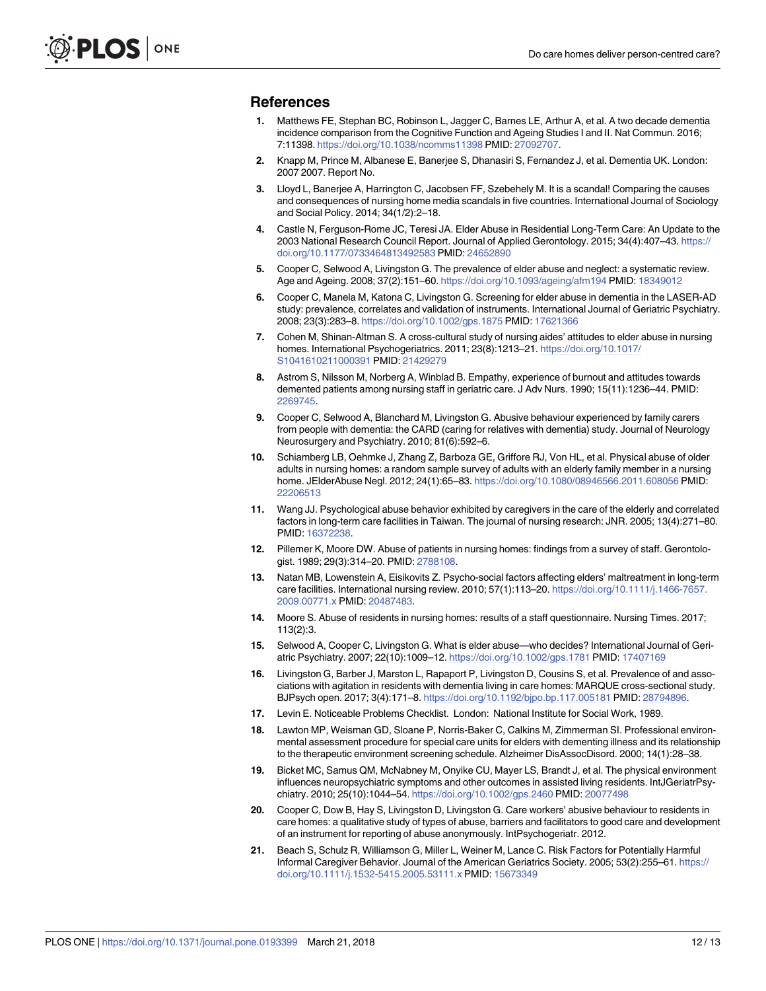#### <span id="page-11-0"></span>**References**

- **[1](#page-1-0).** Matthews FE, Stephan BC, Robinson L, Jagger C, Barnes LE, Arthur A, et al. A two decade dementia incidence comparison from the Cognitive Function and Ageing Studies I and II. Nat Commun. 2016; 7:11398. <https://doi.org/10.1038/ncomms11398> PMID: [27092707](http://www.ncbi.nlm.nih.gov/pubmed/27092707).
- **[2](#page-1-0).** Knapp M, Prince M, Albanese E, Banerjee S, Dhanasiri S, Fernandez J, et al. Dementia UK. London: 2007 2007. Report No.
- **[3](#page-1-0).** Lloyd L, Banerjee A, Harrington C, Jacobsen FF, Szebehely M. It is a scandal! Comparing the causes and consequences of nursing home media scandals in five countries. International Journal of Sociology and Social Policy. 2014; 34(1/2):2–18.
- **[4](#page-1-0).** Castle N, Ferguson-Rome JC, Teresi JA. Elder Abuse in Residential Long-Term Care: An Update to the 2003 National Research Council Report. Journal of Applied Gerontology. 2015; 34(4):407–43. [https://](https://doi.org/10.1177/0733464813492583) [doi.org/10.1177/0733464813492583](https://doi.org/10.1177/0733464813492583) PMID: [24652890](http://www.ncbi.nlm.nih.gov/pubmed/24652890)
- **[5](#page-1-0).** Cooper C, Selwood A, Livingston G. The prevalence of elder abuse and neglect: a systematic review. Age and Ageing. 2008; 37(2):151–60. <https://doi.org/10.1093/ageing/afm194> PMID: [18349012](http://www.ncbi.nlm.nih.gov/pubmed/18349012)
- **[6](#page-1-0).** Cooper C, Manela M, Katona C, Livingston G. Screening for elder abuse in dementia in the LASER-AD study: prevalence, correlates and validation of instruments. International Journal of Geriatric Psychiatry. 2008; 23(3):283–8. <https://doi.org/10.1002/gps.1875> PMID: [17621366](http://www.ncbi.nlm.nih.gov/pubmed/17621366)
- **[7](#page-1-0).** Cohen M, Shinan-Altman S. A cross-cultural study of nursing aides' attitudes to elder abuse in nursing homes. International Psychogeriatrics. 2011; 23(8):1213–21. [https://doi.org/10.1017/](https://doi.org/10.1017/S1041610211000391) [S1041610211000391](https://doi.org/10.1017/S1041610211000391) PMID: [21429279](http://www.ncbi.nlm.nih.gov/pubmed/21429279)
- **[8](#page-1-0).** Astrom S, Nilsson M, Norberg A, Winblad B. Empathy, experience of burnout and attitudes towards demented patients among nursing staff in geriatric care. J Adv Nurs. 1990; 15(11):1236–44. PMID: [2269745](http://www.ncbi.nlm.nih.gov/pubmed/2269745).
- **[9](#page-1-0).** Cooper C, Selwood A, Blanchard M, Livingston G. Abusive behaviour experienced by family carers from people with dementia: the CARD (caring for relatives with dementia) study. Journal of Neurology Neurosurgery and Psychiatry. 2010; 81(6):592–6.
- **[10](#page-1-0).** Schiamberg LB, Oehmke J, Zhang Z, Barboza GE, Griffore RJ, Von HL, et al. Physical abuse of older adults in nursing homes: a random sample survey of adults with an elderly family member in a nursing home. JElderAbuse Negl. 2012; 24(1):65–83. <https://doi.org/10.1080/08946566.2011.608056> PMID: [22206513](http://www.ncbi.nlm.nih.gov/pubmed/22206513)
- **[11](#page-1-0).** Wang JJ. Psychological abuse behavior exhibited by caregivers in the care of the elderly and correlated factors in long-term care facilities in Taiwan. The journal of nursing research: JNR. 2005; 13(4):271–80. PMID: [16372238](http://www.ncbi.nlm.nih.gov/pubmed/16372238).
- **[12](#page-1-0).** Pillemer K, Moore DW. Abuse of patients in nursing homes: findings from a survey of staff. Gerontologist. 1989; 29(3):314–20. PMID: [2788108](http://www.ncbi.nlm.nih.gov/pubmed/2788108).
- **[13](#page-1-0).** Natan MB, Lowenstein A, Eisikovits Z. Psycho-social factors affecting elders' maltreatment in long-term care facilities. International nursing review. 2010; 57(1):113–20. [https://doi.org/10.1111/j.1466-7657.](https://doi.org/10.1111/j.1466-7657.2009.00771.x) [2009.00771.x](https://doi.org/10.1111/j.1466-7657.2009.00771.x) PMID: [20487483](http://www.ncbi.nlm.nih.gov/pubmed/20487483).
- **[14](#page-1-0).** Moore S. Abuse of residents in nursing homes: results of a staff questionnaire. Nursing Times. 2017; 113(2):3.
- **[15](#page-1-0).** Selwood A, Cooper C, Livingston G. What is elder abuse—who decides? International Journal of Geriatric Psychiatry. 2007; 22(10):1009–12. <https://doi.org/10.1002/gps.1781> PMID: [17407169](http://www.ncbi.nlm.nih.gov/pubmed/17407169)
- **[16](#page-2-0).** Livingston G, Barber J, Marston L, Rapaport P, Livingston D, Cousins S, et al. Prevalence of and associations with agitation in residents with dementia living in care homes: MARQUE cross-sectional study. BJPsych open. 2017; 3(4):171–8. <https://doi.org/10.1192/bjpo.bp.117.005181> PMID: [28794896.](http://www.ncbi.nlm.nih.gov/pubmed/28794896)
- **[17](#page-2-0).** Levin E. Noticeable Problems Checklist. London: National Institute for Social Work, 1989.
- **[18](#page-3-0).** Lawton MP, Weisman GD, Sloane P, Norris-Baker C, Calkins M, Zimmerman SI. Professional environmental assessment procedure for special care units for elders with dementing illness and its relationship to the therapeutic environment screening schedule. Alzheimer DisAssocDisord. 2000; 14(1):28–38.
- **[19](#page-3-0).** Bicket MC, Samus QM, McNabney M, Onyike CU, Mayer LS, Brandt J, et al. The physical environment influences neuropsychiatric symptoms and other outcomes in assisted living residents. IntJGeriatrPsychiatry. 2010; 25(10):1044–54. <https://doi.org/10.1002/gps.2460> PMID: [20077498](http://www.ncbi.nlm.nih.gov/pubmed/20077498)
- **[20](#page-4-0).** Cooper C, Dow B, Hay S, Livingston D, Livingston G. Care workers' abusive behaviour to residents in care homes: a qualitative study of types of abuse, barriers and facilitators to good care and development of an instrument for reporting of abuse anonymously. IntPsychogeriatr. 2012.
- **[21](#page-4-0).** Beach S, Schulz R, Williamson G, Miller L, Weiner M, Lance C. Risk Factors for Potentially Harmful Informal Caregiver Behavior. Journal of the American Geriatrics Society. 2005; 53(2):255–61. [https://](https://doi.org/10.1111/j.1532-5415.2005.53111.x) [doi.org/10.1111/j.1532-5415.2005.53111.x](https://doi.org/10.1111/j.1532-5415.2005.53111.x) PMID: [15673349](http://www.ncbi.nlm.nih.gov/pubmed/15673349)